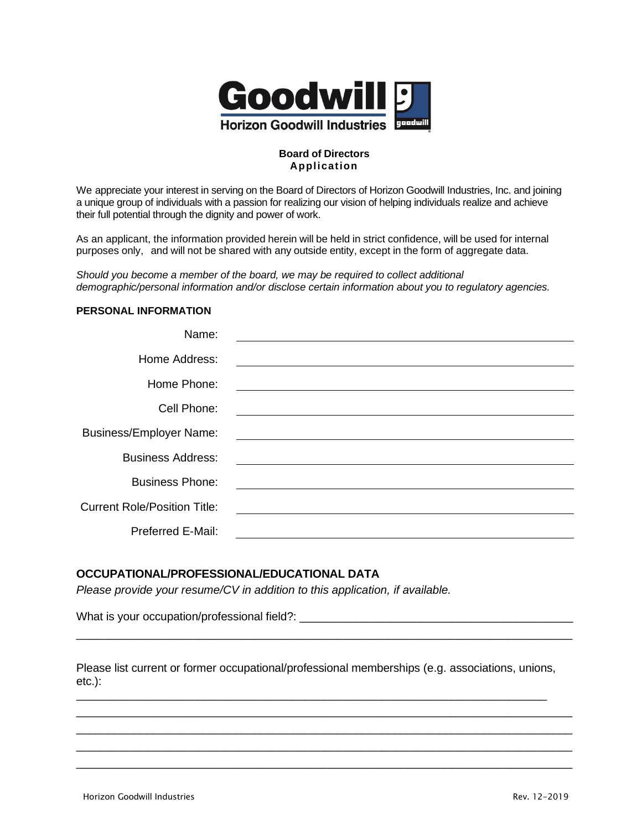

### **Board of Directors Application**

We appreciate your interest in serving on the Board of Directors of Horizon Goodwill Industries, Inc. and joining a unique group of individuals with a passion for realizing our vision of helping individuals realize and achieve their full potential through the dignity and power of work.

As an applicant, the information provided herein will be held in strict confidence, will be used for internal purposes only, and will not be shared with any outside entity, except in the form of aggregate data.

*Should you become a member of the board, we may be required to collect additional demographic/personal information and/or disclose certain information about you to regulatory agencies.*

## **PERSONAL INFORMATION**

| Name:                               |  |
|-------------------------------------|--|
| Home Address:                       |  |
| Home Phone:                         |  |
| Cell Phone:                         |  |
| <b>Business/Employer Name:</b>      |  |
| <b>Business Address:</b>            |  |
| <b>Business Phone:</b>              |  |
| <b>Current Role/Position Title:</b> |  |
| <b>Preferred E-Mail:</b>            |  |
|                                     |  |

#### **OCCUPATIONAL/PROFESSIONAL/EDUCATIONAL DATA**

*Please provide your resume/CV in addition to this application, if available.*

What is your occupation/professional field?: \_\_\_\_\_\_\_\_\_\_\_\_\_\_\_\_\_\_\_\_\_\_\_\_\_\_\_\_\_\_\_\_\_\_\_

Please list current or former occupational/professional memberships (e.g. associations, unions, etc.): \_\_\_\_\_\_\_\_\_\_\_\_\_\_\_\_\_\_\_\_\_\_\_\_\_\_\_\_\_\_\_\_\_\_\_\_\_\_\_\_\_\_\_\_\_\_\_\_\_\_\_\_\_\_\_\_\_\_\_\_\_\_\_\_\_\_\_\_\_\_\_\_\_\_

\_\_\_\_\_\_\_\_\_\_\_\_\_\_\_\_\_\_\_\_\_\_\_\_\_\_\_\_\_\_\_\_\_\_\_\_\_\_\_\_\_\_\_\_\_\_\_\_\_\_\_\_\_\_\_\_\_\_\_\_\_\_\_\_\_\_\_\_\_\_\_\_\_\_\_\_\_\_ \_\_\_\_\_\_\_\_\_\_\_\_\_\_\_\_\_\_\_\_\_\_\_\_\_\_\_\_\_\_\_\_\_\_\_\_\_\_\_\_\_\_\_\_\_\_\_\_\_\_\_\_\_\_\_\_\_\_\_\_\_\_\_\_\_\_\_\_\_\_\_\_\_\_\_\_\_\_ \_\_\_\_\_\_\_\_\_\_\_\_\_\_\_\_\_\_\_\_\_\_\_\_\_\_\_\_\_\_\_\_\_\_\_\_\_\_\_\_\_\_\_\_\_\_\_\_\_\_\_\_\_\_\_\_\_\_\_\_\_\_\_\_\_\_\_\_\_\_\_\_\_\_\_\_\_\_ \_\_\_\_\_\_\_\_\_\_\_\_\_\_\_\_\_\_\_\_\_\_\_\_\_\_\_\_\_\_\_\_\_\_\_\_\_\_\_\_\_\_\_\_\_\_\_\_\_\_\_\_\_\_\_\_\_\_\_\_\_\_\_\_\_\_\_\_\_\_\_\_\_\_\_\_\_\_

\_\_\_\_\_\_\_\_\_\_\_\_\_\_\_\_\_\_\_\_\_\_\_\_\_\_\_\_\_\_\_\_\_\_\_\_\_\_\_\_\_\_\_\_\_\_\_\_\_\_\_\_\_\_\_\_\_\_\_\_\_\_\_\_\_\_\_\_\_\_\_\_\_\_\_\_\_\_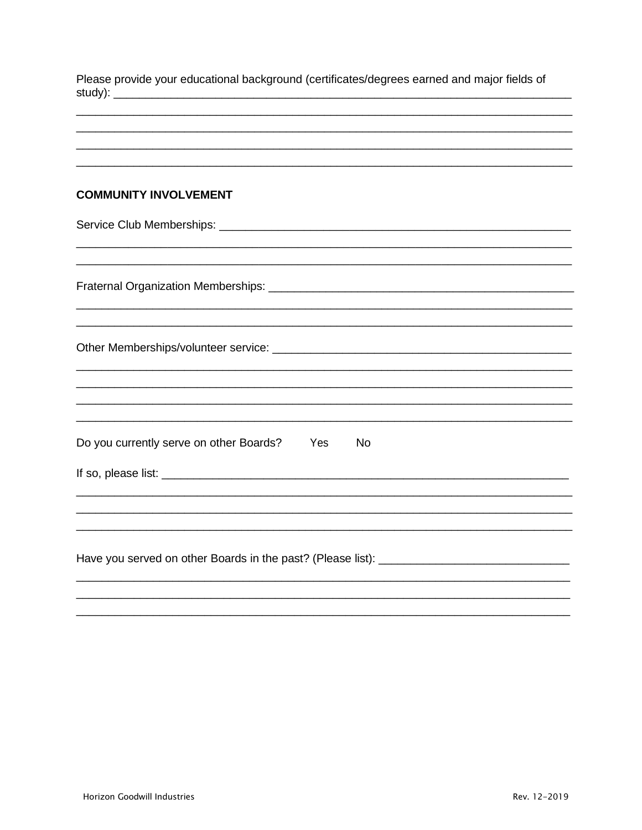| Please provide your educational background (certificates/degrees earned and major fields of<br><u> 2000 - Jan James James James James James James James James James James James James James James James James J</u>                                                                                 |  |  |
|-----------------------------------------------------------------------------------------------------------------------------------------------------------------------------------------------------------------------------------------------------------------------------------------------------|--|--|
|                                                                                                                                                                                                                                                                                                     |  |  |
| <b>COMMUNITY INVOLVEMENT</b>                                                                                                                                                                                                                                                                        |  |  |
|                                                                                                                                                                                                                                                                                                     |  |  |
|                                                                                                                                                                                                                                                                                                     |  |  |
|                                                                                                                                                                                                                                                                                                     |  |  |
|                                                                                                                                                                                                                                                                                                     |  |  |
| Do you currently serve on other Boards?<br>Yes<br><b>No</b><br>If so, please list: <u>example and contract and contract and contract and contract and contract and contract and contract and contract and contract and contract and contract and contract and contract and contract and contrac</u> |  |  |
|                                                                                                                                                                                                                                                                                                     |  |  |
|                                                                                                                                                                                                                                                                                                     |  |  |
|                                                                                                                                                                                                                                                                                                     |  |  |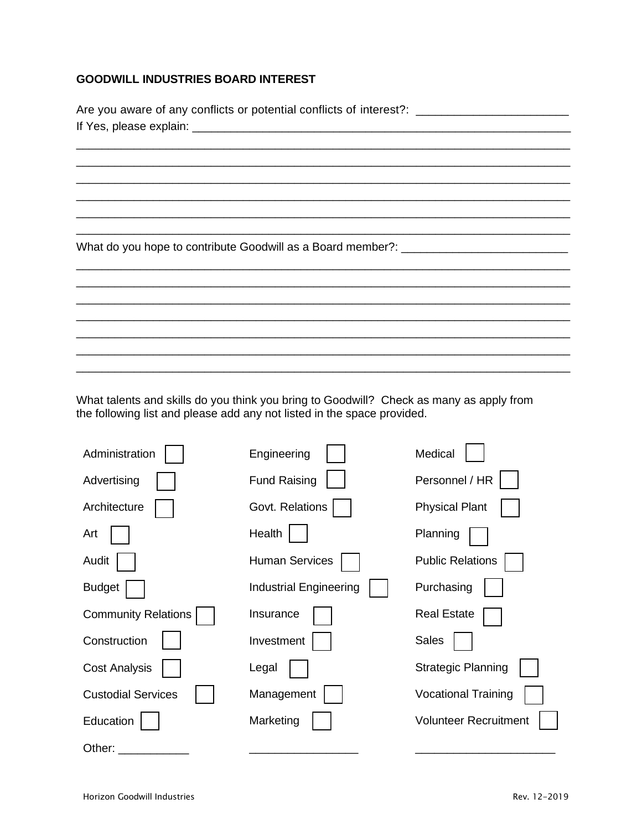## **GOODWILL INDUSTRIES BOARD INTEREST**

| Are you aware of any conflicts or potential conflicts of interest?: ________________________________ |  |  |  |
|------------------------------------------------------------------------------------------------------|--|--|--|
|                                                                                                      |  |  |  |
|                                                                                                      |  |  |  |
|                                                                                                      |  |  |  |
| What do you hope to contribute Goodwill as a Board member?: _____________________                    |  |  |  |
|                                                                                                      |  |  |  |
|                                                                                                      |  |  |  |
|                                                                                                      |  |  |  |
|                                                                                                      |  |  |  |

What talents and skills do you think you bring to Goodwill? Check as many as apply from the following list and please add any not listed in the space provided.

| Administration             | Engineering                   | Medical                      |
|----------------------------|-------------------------------|------------------------------|
| Advertising                | <b>Fund Raising</b>           | Personnel / HR               |
| Architecture               | Govt. Relations               | <b>Physical Plant</b>        |
| Art                        | Health                        | Planning                     |
| Audit                      | <b>Human Services</b>         | <b>Public Relations</b>      |
| <b>Budget</b>              | <b>Industrial Engineering</b> | Purchasing                   |
| <b>Community Relations</b> | Insurance                     | <b>Real Estate</b>           |
| Construction               | Investment                    | <b>Sales</b>                 |
| <b>Cost Analysis</b>       | Legal                         | <b>Strategic Planning</b>    |
| <b>Custodial Services</b>  | Management                    | <b>Vocational Training</b>   |
| Education                  | Marketing                     | <b>Volunteer Recruitment</b> |
| Other:                     |                               |                              |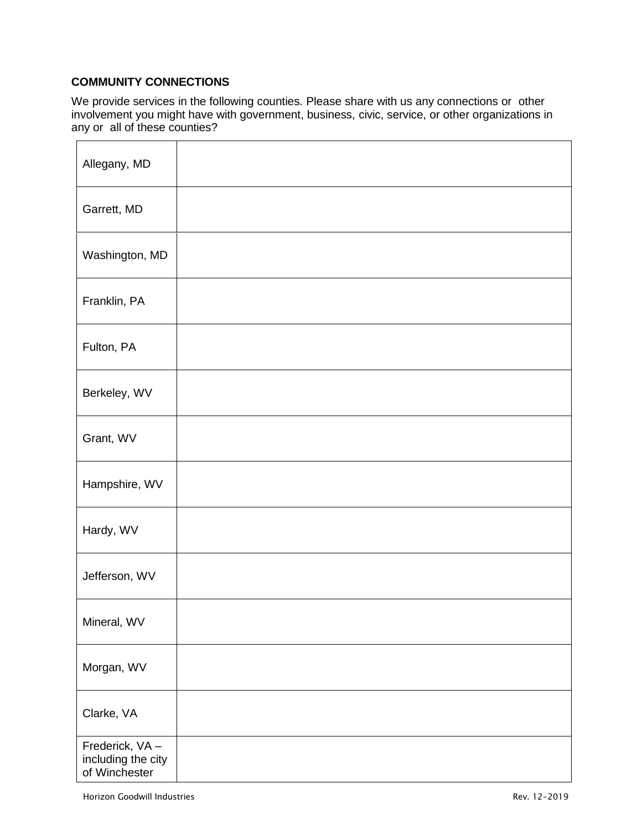# **COMMUNITY CONNECTIONS**

We provide services in the following counties. Please share with us any connections or other involvement you might have with government, business, civic, service, or other organizations in any or all of these counties?

| Allegany, MD                                          |  |
|-------------------------------------------------------|--|
| Garrett, MD                                           |  |
| Washington, MD                                        |  |
| Franklin, PA                                          |  |
| Fulton, PA                                            |  |
| Berkeley, WV                                          |  |
| Grant, WV                                             |  |
| Hampshire, WV                                         |  |
| Hardy, WV                                             |  |
| Jefferson, WV                                         |  |
| Mineral, WV                                           |  |
| Morgan, WV                                            |  |
| Clarke, VA                                            |  |
| Frederick, VA-<br>including the city<br>of Winchester |  |